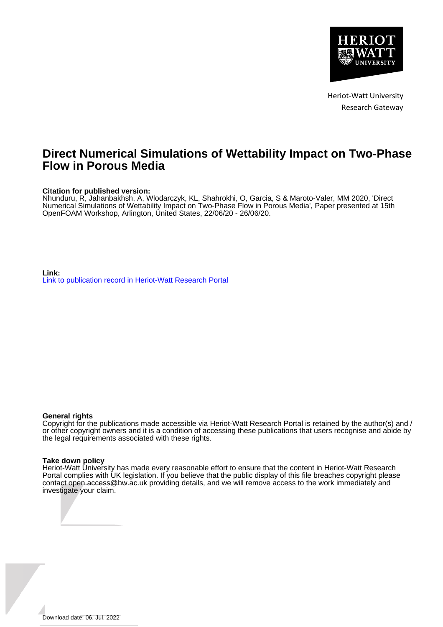

Heriot-Watt University Research Gateway

# **Direct Numerical Simulations of Wettability Impact on Two-Phase Flow in Porous Media**

# **Citation for published version:**

Nhunduru, R, Jahanbakhsh, A, Wlodarczyk, KL, Shahrokhi, O, Garcia, S & Maroto-Valer, MM 2020, 'Direct Numerical Simulations of Wettability Impact on Two-Phase Flow in Porous Media', Paper presented at 15th OpenFOAM Workshop, Arlington, United States, 22/06/20 - 26/06/20.

**Link:** [Link to publication record in Heriot-Watt Research Portal](https://researchportal.hw.ac.uk/en/publications/50e988e0-dda7-402e-8d71-4a94ec2c9dc2)

#### **General rights**

Copyright for the publications made accessible via Heriot-Watt Research Portal is retained by the author(s) and / or other copyright owners and it is a condition of accessing these publications that users recognise and abide by the legal requirements associated with these rights.

### **Take down policy**

Heriot-Watt University has made every reasonable effort to ensure that the content in Heriot-Watt Research Portal complies with UK legislation. If you believe that the public display of this file breaches copyright please contact open.access@hw.ac.uk providing details, and we will remove access to the work immediately and investigate your claim.